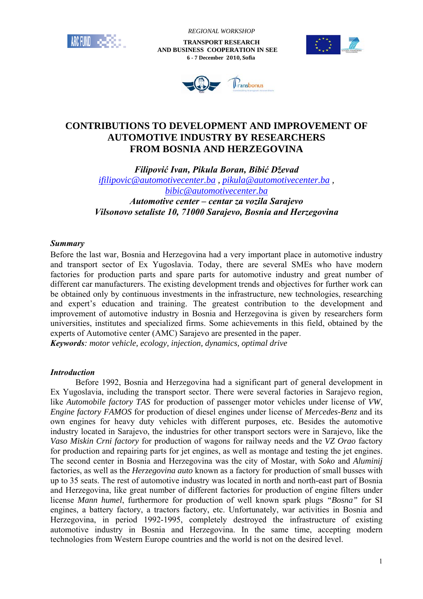

 *REGIONAL WORKSHOP*

 **TRANSPORT RESEARCH AND BUSINESS COOPERATION IN SEE 6 - 7 December 2010, Sofia**





# **CONTRIBUTIONS TO DEVELOPMENT AND IMPROVEMENT OF AUTOMOTIVE INDUSTRY BY RESEARCHERS FROM BOSNIA AND HERZEGOVINA**

*Filipović Ivan, Pikula Boran, Bibić Dževad ifilipovic@automotivecenter.ba , pikula@automotivecenter.ba , bibic@automotivecenter.ba*

*Automotive center – centar za vozila Sarajevo Vilsonovo setaliste 10, 71000 Sarajevo, Bosnia and Herzegovina* 

### *Summary*

Before the last war, Bosnia and Herzegovina had a very important place in automotive industry and transport sector of Ex Yugoslavia. Today, there are several SMEs who have modern factories for production parts and spare parts for automotive industry and great number of different car manufacturers. The existing development trends and objectives for further work can be obtained only by continuous investments in the infrastructure, new technologies, researching and expert's education and training. The greatest contribution to the development and improvement of automotive industry in Bosnia and Herzegovina is given by researchers form universities, institutes and specialized firms. Some achievements in this field, obtained by the experts of Automotive center (AMC) Sarajevo are presented in the paper. *Keywords: motor vehicle, ecology, injection, dynamics, optimal drive* 

## *Introduction*

Before 1992, Bosnia and Herzegovina had a significant part of general development in Ex Yugoslavia, including the transport sector. There were several factories in Sarajevo region, like *Automobile factory TAS* for production of passenger motor vehicles under license of *VW*, *Engine factory FAMOS* for production of diesel engines under license of *Mercedes-Benz* and its own engines for heavy duty vehicles with different purposes, etc. Besides the automotive industry located in Sarajevo, the industries for other transport sectors were in Sarajevo, like the *Vaso Miskin Crni factory* for production of wagons for railway needs and the *VZ Orao* factory for production and repairing parts for jet engines, as well as montage and testing the jet engines. The second center in Bosnia and Herzegovina was the city of Mostar, with *Soko* and *Aluminij* factories, as well as the *Herzegovina auto* known as a factory for production of small busses with up to 35 seats. The rest of automotive industry was located in north and north-east part of Bosnia and Herzegovina, like great number of different factories for production of engine filters under license *Mann humel*, furthermore for production of well known spark plugs *"Bosna"* for SI engines, a battery factory, a tractors factory, etc. Unfortunately, war activities in Bosnia and Herzegovina, in period 1992-1995, completely destroyed the infrastructure of existing automotive industry in Bosnia and Herzegovina. In the same time, accepting modern technologies from Western Europe countries and the world is not on the desired level.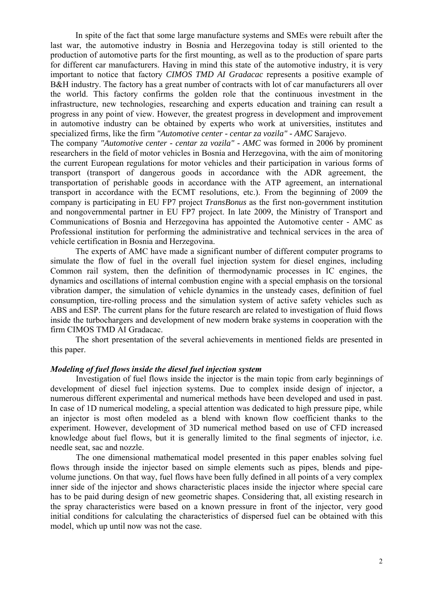In spite of the fact that some large manufacture systems and SMEs were rebuilt after the last war, the automotive industry in Bosnia and Herzegovina today is still oriented to the production of automotive parts for the first mounting, as well as to the production of spare parts for different car manufacturers. Having in mind this state of the automotive industry, it is very important to notice that factory *CIMOS TMD AI Gradacac* represents a positive example of B&H industry. The factory has a great number of contracts with lot of car manufacturers all over the world. This factory confirms the golden role that the continuous investment in the infrastructure, new technologies, researching and experts education and training can result a progress in any point of view. However, the greatest progress in development and improvement in automotive industry can be obtained by experts who work at universities, institutes and specialized firms, like the firm *"Automotive center - centar za vozila" - AMC* Sarajevo.

The company *"Automotive center - centar za vozila" - AMC* was formed in 2006 by prominent researchers in the field of motor vehicles in Bosnia and Herzegovina, with the aim of monitoring the current European regulations for motor vehicles and their participation in various forms of transport (transport of dangerous goods in accordance with the ADR agreement, the transportation of perishable goods in accordance with the ATP agreement, an international transport in accordance with the ECMT resolutions, etc.). From the beginning of 2009 the company is participating in EU FP7 project *TransBonus* as the first non-government institution and nongovernmental partner in EU FP7 project. In late 2009, the Ministry of Transport and Communications of Bosnia and Herzegovina has appointed the Automotive center - AMC as Professional institution for performing the administrative and technical services in the area of vehicle certification in Bosnia and Herzegovina.

The experts of AMC have made a significant number of different computer programs to simulate the flow of fuel in the overall fuel injection system for diesel engines, including Common rail system, then the definition of thermodynamic processes in IC engines, the dynamics and oscillations of internal combustion engine with a special emphasis on the torsional vibration damper, the simulation of vehicle dynamics in the unsteady cases, definition of fuel consumption, tire-rolling process and the simulation system of active safety vehicles such as ABS and ESP. The current plans for the future research are related to investigation of fluid flows inside the turbochargers and development of new modern brake systems in cooperation with the firm CIMOS TMD AI Gradacac.

The short presentation of the several achievements in mentioned fields are presented in this paper.

#### *Modeling of fuel flows inside the diesel fuel injection system*

Investigation of fuel flows inside the injector is the main topic from early beginnings of development of diesel fuel injection systems. Due to complex inside design of injector, a numerous different experimental and numerical methods have been developed and used in past. In case of 1D numerical modeling, a special attention was dedicated to high pressure pipe, while an injector is most often modeled as a blend with known flow coefficient thanks to the experiment. However, development of 3D numerical method based on use of CFD increased knowledge about fuel flows, but it is generally limited to the final segments of injector, i.e. needle seat, sac and nozzle.

The one dimensional mathematical model presented in this paper enables solving fuel flows through inside the injector based on simple elements such as pipes, blends and pipevolume junctions. On that way, fuel flows have been fully defined in all points of a very complex inner side of the injector and shows characteristic places inside the injector where special care has to be paid during design of new geometric shapes. Considering that, all existing research in the spray characteristics were based on a known pressure in front of the injector, very good initial conditions for calculating the characteristics of dispersed fuel can be obtained with this model, which up until now was not the case.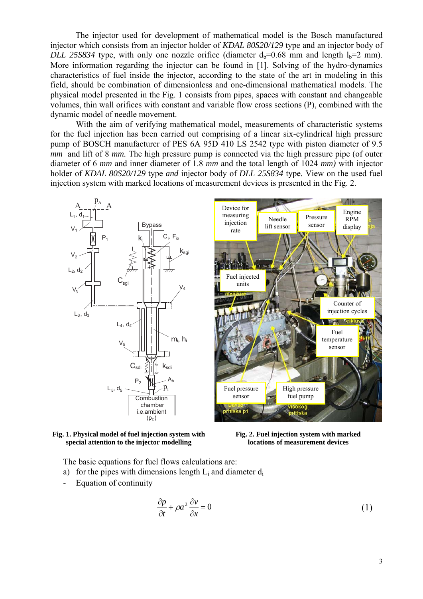The injector used for development of mathematical model is the Bosch manufactured injector which consists from an injector holder of *KDAL 80S20/129* type and an injector body of *DLL 25S834* type, with only one nozzle orifice (diameter  $d_b=0.68$  mm and length  $l_b=2$  mm). More information regarding the injector can be found in [1]. Solving of the hydro-dynamics characteristics of fuel inside the injector, according to the state of the art in modeling in this field, should be combination of dimensionless and one-dimensional mathematical models. The physical model presented in the Fig. 1 consists from pipes, spaces with constant and changeable volumes, thin wall orifices with constant and variable flow cross sections (P), combined with the dynamic model of needle movement.

With the aim of verifying mathematical model, measurements of characteristic systems for the fuel injection has been carried out comprising of a linear six-cylindrical high pressure pump of BOSCH manufacturer of PES 6A 95D 410 LS 2542 type with piston diameter of 9.5 *mm* and lift of 8 *mm*. The high pressure pump is connected via the high pressure pipe (of outer diameter of 6 *mm* and inner diameter of 1.8 *mm* and the total length of 1024 *mm)* with injector holder of *KDAL 80S20/129* type *and* injector body of *DLL 25S834* type. View on the used fuel injection system with marked locations of measurement devices is presented in the Fig. 2.







**Fig. 2. Fuel injection system with marked locations of measurement devices** 

The basic equations for fuel flows calculations are:

- a) for the pipes with dimensions length  $L_i$  and diameter  $d_i$
- Equation of continuity

$$
\frac{\partial p}{\partial t} + \rho a^2 \frac{\partial v}{\partial x} = 0 \tag{1}
$$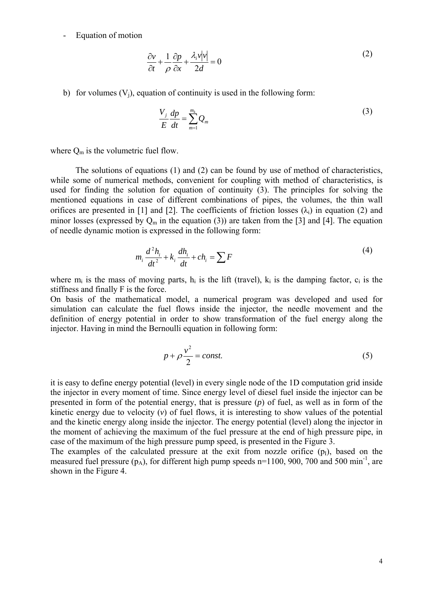- Equation of motion

$$
\frac{\partial v}{\partial t} + \frac{1}{\rho} \frac{\partial p}{\partial x} + \frac{\lambda_i v |v|}{2d} = 0
$$
 (2)

b) for volumes  $(V_i)$ , equation of continuity is used in the following form:

$$
\frac{V_j}{E}\frac{dp}{dt} = \sum_{m=1}^{m_k} Q_m \tag{3}
$$

where  $Q_m$  is the volumetric fuel flow.

The solutions of equations (1) and (2) can be found by use of method of characteristics, while some of numerical methods, convenient for coupling with method of characteristics, is used for finding the solution for equation of continuity (3). The principles for solving the mentioned equations in case of different combinations of pipes, the volumes, the thin wall orifices are presented in [1] and [2]. The coefficients of friction losses  $(\lambda_i)$  in equation (2) and minor losses (expressed by  $Q_m$  in the equation (3)) are taken from the [3] and [4]. The equation of needle dynamic motion is expressed in the following form:

$$
m_i \frac{d^2 h_i}{dt^2} + k_i \frac{dh_i}{dt} + ch_i = \sum F
$$
\n<sup>(4)</sup>

where  $m_i$  is the mass of moving parts,  $h_i$  is the lift (travel),  $k_i$  is the damping factor,  $c_i$  is the stiffness and finally F is the force.

On basis of the mathematical model, a numerical program was developed and used for simulation can calculate the fuel flows inside the injector, the needle movement and the definition of energy potential in order to show transformation of the fuel energy along the injector. Having in mind the Bernoulli equation in following form:

$$
p + \rho \frac{v^2}{2} = const.
$$
 (5)

it is easy to define energy potential (level) in every single node of the 1D computation grid inside the injector in every moment of time. Since energy level of diesel fuel inside the injector can be presented in form of the potential energy, that is pressure (*p*) of fuel, as well as in form of the kinetic energy due to velocity (*v*) of fuel flows, it is interesting to show values of the potential and the kinetic energy along inside the injector. The energy potential (level) along the injector in the moment of achieving the maximum of the fuel pressure at the end of high pressure pipe, in case of the maximum of the high pressure pump speed, is presented in the Figure 3.

The examples of the calculated pressure at the exit from nozzle orifice  $(p<sub>I</sub>)$ , based on the measured fuel pressure  $(p_A)$ , for different high pump speeds n=1100, 900, 700 and 500 min<sup>-1</sup>, are shown in the Figure 4.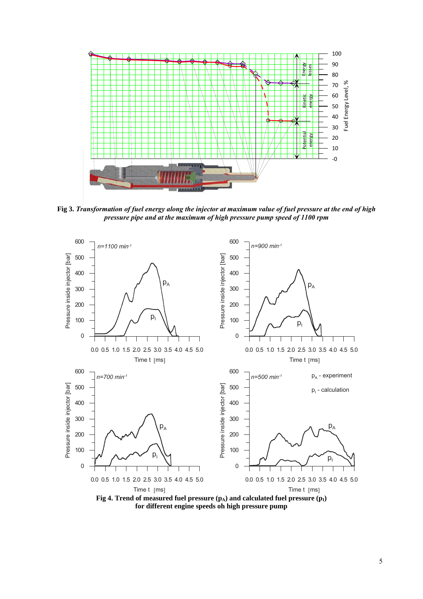

**Fig 3.** *Transformation of fuel energy along the injector at maximum value of fuel pressure at the end of high pressure pipe and at the maximum of high pressure pump speed of 1100 rpm*



**for different engine speeds oh high pressure pump**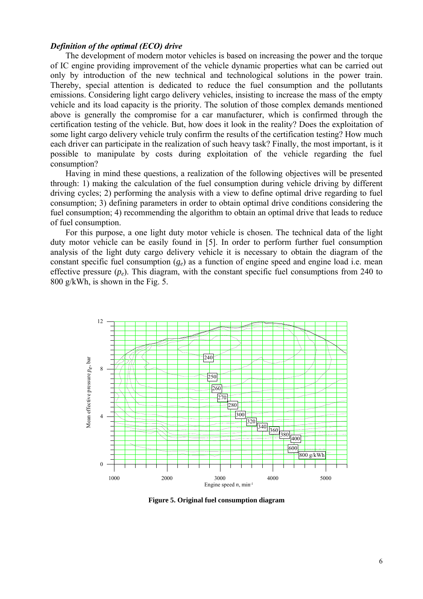### *Definition of the optimal (ECO) drive*

The development of modern motor vehicles is based on increasing the power and the torque of IC engine providing improvement of the vehicle dynamic properties what can be carried out only by introduction of the new technical and technological solutions in the power train. Thereby, special attention is dedicated to reduce the fuel consumption and the pollutants emissions. Considering light cargo delivery vehicles, insisting to increase the mass of the empty vehicle and its load capacity is the priority. The solution of those complex demands mentioned above is generally the compromise for a car manufacturer, which is confirmed through the certification testing of the vehicle. But, how does it look in the reality? Does the exploitation of some light cargo delivery vehicle truly confirm the results of the certification testing? How much each driver can participate in the realization of such heavy task? Finally, the most important, is it possible to manipulate by costs during exploitation of the vehicle regarding the fuel consumption?

Having in mind these questions, a realization of the following objectives will be presented through: 1) making the calculation of the fuel consumption during vehicle driving by different driving cycles; 2) performing the analysis with a view to define optimal drive regarding to fuel consumption; 3) defining parameters in order to obtain optimal drive conditions considering the fuel consumption; 4) recommending the algorithm to obtain an optimal drive that leads to reduce of fuel consumption.

For this purpose, a one light duty motor vehicle is chosen. The technical data of the light duty motor vehicle can be easily found in [5]. In order to perform further fuel consumption analysis of the light duty cargo delivery vehicle it is necessary to obtain the diagram of the constant specific fuel consumption (*ge*) as a function of engine speed and engine load i.e. mean effective pressure  $(p_e)$ . This diagram, with the constant specific fuel consumptions from 240 to 800 g/kWh, is shown in the Fig. 5.



**Figure 5. Original fuel consumption diagram**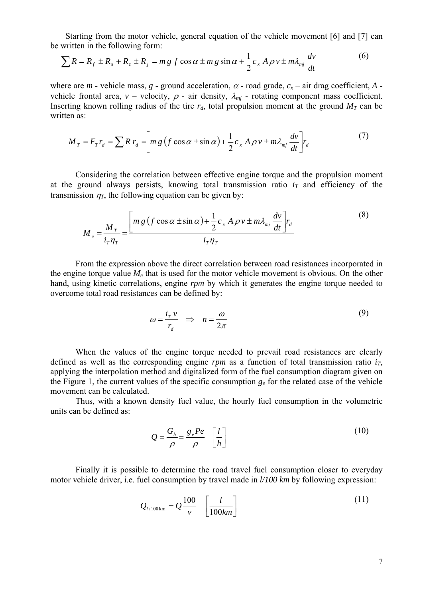Starting from the motor vehicle, general equation of the vehicle movement [6] and [7] can be written in the following form:

$$
\sum R = R_f \pm R_u + R_z \pm R_j = mg \, f \cos \alpha \pm mg \sin \alpha + \frac{1}{2} c_x A \, \rho v \pm m \lambda_{mj} \frac{dv}{dt} \tag{6}
$$

where are *m* - vehicle mass, *g* - ground acceleration,  $\alpha$  - road grade,  $c_x$  – air drag coefficient, *A* vehicle frontal area,  $v$  – velocity,  $\rho$  - air density,  $\lambda_{mj}$  - rotating component mass coefficient. Inserting known rolling radius of the tire  $r_d$ , total propulsion moment at the ground  $M_T$  can be written as:

$$
M_T = F_T r_d = \sum R r_d = \left[ m g \left( f \cos \alpha \pm \sin \alpha \right) + \frac{1}{2} c_x A \rho v \pm m \lambda_{mj} \frac{dv}{dt} \right] r_d \tag{7}
$$

Considering the correlation between effective engine torque and the propulsion moment at the ground always persists, knowing total transmission ratio  $i<sub>T</sub>$  and efficiency of the transmission  $\eta$ <sub>T</sub>, the following equation can be given by:

$$
M_e = \frac{M_T}{i_T \eta_T} = \frac{\left[m g \left(f \cos \alpha \pm \sin \alpha\right) + \frac{1}{2} c_x A \rho v \pm m \lambda_{mj} \frac{dv}{dt}\right] r_d}{i_T \eta_T}
$$
(8)

From the expression above the direct correlation between road resistances incorporated in the engine torque value  $M_e$  that is used for the motor vehicle movement is obvious. On the other hand, using kinetic correlations, engine *rpm* by which it generates the engine torque needed to overcome total road resistances can be defined by:

$$
\omega = \frac{i_{\tau} \nu}{r_d} \Rightarrow n = \frac{\omega}{2\pi} \tag{9}
$$

When the values of the engine torque needed to prevail road resistances are clearly defined as well as the corresponding engine  $rpm$  as a function of total transmission ratio  $i<sub>T</sub>$ , applying the interpolation method and digitalized form of the fuel consumption diagram given on the Figure 1, the current values of the specific consumption  $g_e$  for the related case of the vehicle movement can be calculated.

Thus, with a known density fuel value, the hourly fuel consumption in the volumetric units can be defined as:

$$
Q = \frac{G_h}{\rho} = \frac{g_e P e}{\rho} \left[ \frac{l}{h} \right]
$$
 (10)

Finally it is possible to determine the road travel fuel consumption closer to everyday motor vehicle driver, i.e. fuel consumption by travel made in *l/100 km* by following expression:

$$
Q_{l/100\,\text{km}} = Q \frac{100}{v} \left[ \frac{l}{100 \, km} \right] \tag{11}
$$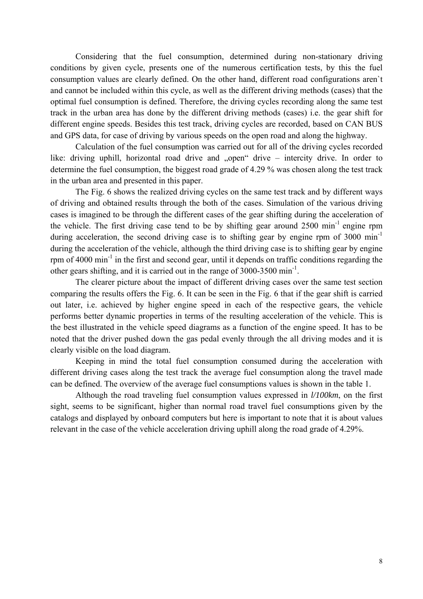Considering that the fuel consumption, determined during non-stationary driving conditions by given cycle, presents one of the numerous certification tests, by this the fuel consumption values are clearly defined. On the other hand, different road configurations aren`t and cannot be included within this cycle, as well as the different driving methods (cases) that the optimal fuel consumption is defined. Therefore, the driving cycles recording along the same test track in the urban area has done by the different driving methods (cases) i.e. the gear shift for different engine speeds. Besides this test track, driving cycles are recorded, based on CAN BUS and GPS data, for case of driving by various speeds on the open road and along the highway.

Calculation of the fuel consumption was carried out for all of the driving cycles recorded like: driving uphill, horizontal road drive and "open" drive – intercity drive. In order to determine the fuel consumption, the biggest road grade of 4.29 % was chosen along the test track in the urban area and presented in this paper.

The Fig. 6 shows the realized driving cycles on the same test track and by different ways of driving and obtained results through the both of the cases. Simulation of the various driving cases is imagined to be through the different cases of the gear shifting during the acceleration of the vehicle. The first driving case tend to be by shifting gear around  $2500 \text{ min}^{-1}$  engine rpm during acceleration, the second driving case is to shifting gear by engine rpm of  $3000 \text{ min}^{-1}$ during the acceleration of the vehicle, although the third driving case is to shifting gear by engine rpm of  $4000 \text{ min}^{-1}$  in the first and second gear, until it depends on traffic conditions regarding the other gears shifting, and it is carried out in the range of  $3000$ - $3500 \text{ min}^{-1}$ .

The clearer picture about the impact of different driving cases over the same test section comparing the results offers the Fig. 6. It can be seen in the Fig. 6 that if the gear shift is carried out later, i.e. achieved by higher engine speed in each of the respective gears, the vehicle performs better dynamic properties in terms of the resulting acceleration of the vehicle. This is the best illustrated in the vehicle speed diagrams as a function of the engine speed. It has to be noted that the driver pushed down the gas pedal evenly through the all driving modes and it is clearly visible on the load diagram.

Keeping in mind the total fuel consumption consumed during the acceleration with different driving cases along the test track the average fuel consumption along the travel made can be defined. The overview of the average fuel consumptions values is shown in the table 1.

Although the road traveling fuel consumption values expressed in *l/100km*, on the first sight, seems to be significant, higher than normal road travel fuel consumptions given by the catalogs and displayed by onboard computers but here is important to note that it is about values relevant in the case of the vehicle acceleration driving uphill along the road grade of 4.29%.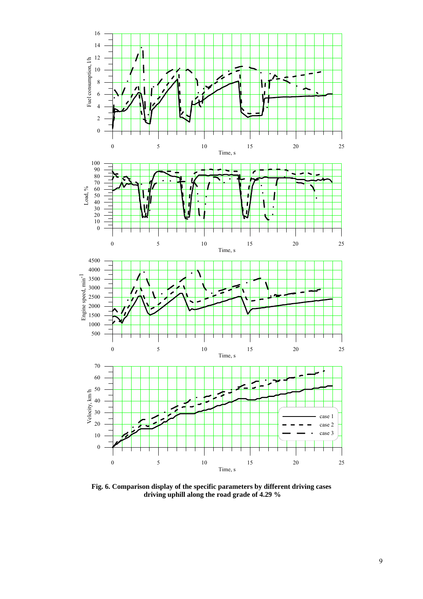

**Fig. 6. Comparison display of the specific parameters by different driving cases driving uphill along the road grade of 4.29 %**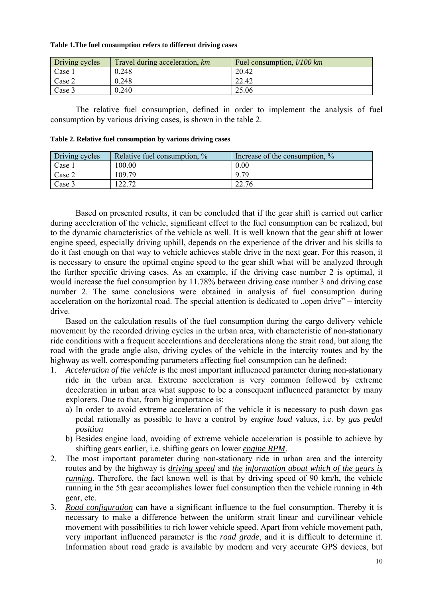#### **Table 1.The fuel consumption refers to different driving cases**

| Driving cycles | Travel during acceleration, km | Fuel consumption, <i>l/100 km</i> |
|----------------|--------------------------------|-----------------------------------|
| Case $_1$      | 0.248                          | 20.42                             |
| Case 2         | 0.248                          | 22.42                             |
| Case 3         | 0.240                          | 25.06                             |

The relative fuel consumption, defined in order to implement the analysis of fuel consumption by various driving cases, is shown in the table 2.

| Table 2. Relative fuel consumption by various driving cases |
|-------------------------------------------------------------|
|-------------------------------------------------------------|

| Driving cycles  | Relative fuel consumption, % | Increase of the consumption, % |
|-----------------|------------------------------|--------------------------------|
| $\text{Case} 1$ | 100.00                       | 0.00                           |
| Case 2          | 109.79                       | 9.79                           |
| Case 3          | 22.72                        | 22.76                          |

Based on presented results, it can be concluded that if the gear shift is carried out earlier during acceleration of the vehicle, significant effect to the fuel consumption can be realized, but to the dynamic characteristics of the vehicle as well. It is well known that the gear shift at lower engine speed, especially driving uphill, depends on the experience of the driver and his skills to do it fast enough on that way to vehicle achieves stable drive in the next gear. For this reason, it is necessary to ensure the optimal engine speed to the gear shift what will be analyzed through the further specific driving cases. As an example, if the driving case number 2 is optimal, it would increase the fuel consumption by 11.78% between driving case number 3 and driving case number 2. The same conclusions were obtained in analysis of fuel consumption during acceleration on the horizontal road. The special attention is dedicated to  $\alpha$  open drive" – intercity drive.

Based on the calculation results of the fuel consumption during the cargo delivery vehicle movement by the recorded driving cycles in the urban area, with characteristic of non-stationary ride conditions with a frequent accelerations and decelerations along the strait road, but along the road with the grade angle also, driving cycles of the vehicle in the intercity routes and by the highway as well, corresponding parameters affecting fuel consumption can be defined:

- 1. *Acceleration of the vehicle* is the most important influenced parameter during non-stationary ride in the urban area. Extreme acceleration is very common followed by extreme deceleration in urban area what suppose to be a consequent influenced parameter by many explorers. Due to that, from big importance is:
	- a) In order to avoid extreme acceleration of the vehicle it is necessary to push down gas pedal rationally as possible to have a control by *engine load* values, i.e. by *gas pedal position*
	- b) Besides engine load, avoiding of extreme vehicle acceleration is possible to achieve by shifting gears earlier, i.e. shifting gears on lower *engine RPM*.
- 2. The most important parameter during non-stationary ride in urban area and the intercity routes and by the highway is *driving speed* and *the information about which of the gears is running*. Therefore, the fact known well is that by driving speed of 90 km/h, the vehicle running in the 5th gear accomplishes lower fuel consumption then the vehicle running in 4th gear, etc.
- 3. *Road configuration* can have a significant influence to the fuel consumption. Thereby it is necessary to make a difference between the uniform strait linear and curvilinear vehicle movement with possibilities to rich lower vehicle speed. Apart from vehicle movement path, very important influenced parameter is the *road grade*, and it is difficult to determine it. Information about road grade is available by modern and very accurate GPS devices, but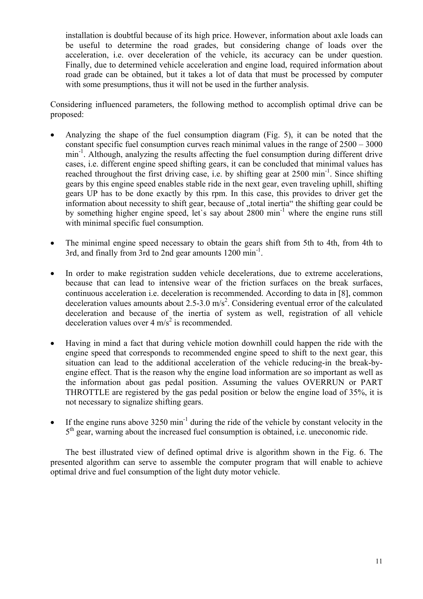installation is doubtful because of its high price. However, information about axle loads can be useful to determine the road grades, but considering change of loads over the acceleration, i.e. over deceleration of the vehicle, its accuracy can be under question. Finally, due to determined vehicle acceleration and engine load, required information about road grade can be obtained, but it takes a lot of data that must be processed by computer with some presumptions, thus it will not be used in the further analysis.

Considering influenced parameters, the following method to accomplish optimal drive can be proposed:

- Analyzing the shape of the fuel consumption diagram (Fig. 5), it can be noted that the constant specific fuel consumption curves reach minimal values in the range of 2500 – 3000 min<sup>-1</sup>. Although, analyzing the results affecting the fuel consumption during different drive cases, i.e. different engine speed shifting gears, it can be concluded that minimal values has reached throughout the first driving case, i.e. by shifting gear at  $2500 \text{ min}^{-1}$ . Since shifting gears by this engine speed enables stable ride in the next gear, even traveling uphill, shifting gears UP has to be done exactly by this rpm. In this case, this provides to driver get the information about necessity to shift gear, because of "total inertia" the shifting gear could be by something higher engine speed, let`s say about 2800 min-1 where the engine runs still with minimal specific fuel consumption.
- The minimal engine speed necessary to obtain the gears shift from 5th to 4th, from 4th to 3rd, and finally from 3rd to 2nd gear amounts 1200 min<sup>-1</sup>.
- In order to make registration sudden vehicle decelerations, due to extreme accelerations, because that can lead to intensive wear of the friction surfaces on the break surfaces, continuous acceleration i.e. deceleration is recommended. According to data in [8], common deceleration values amounts about 2.5-3.0 m/s<sup>2</sup>. Considering eventual error of the calculated deceleration and because of the inertia of system as well, registration of all vehicle deceleration values over  $4 \text{ m/s}^2$  is recommended.
- Having in mind a fact that during vehicle motion downhill could happen the ride with the engine speed that corresponds to recommended engine speed to shift to the next gear, this situation can lead to the additional acceleration of the vehicle reducing-in the break-byengine effect. That is the reason why the engine load information are so important as well as the information about gas pedal position. Assuming the values OVERRUN or PART THROTTLE are registered by the gas pedal position or below the engine load of 35%, it is not necessary to signalize shifting gears.
- If the engine runs above  $3250 \text{ min}^{-1}$  during the ride of the vehicle by constant velocity in the 5<sup>th</sup> gear, warning about the increased fuel consumption is obtained, i.e. uneconomic ride.

The best illustrated view of defined optimal drive is algorithm shown in the Fig. 6. The presented algorithm can serve to assemble the computer program that will enable to achieve optimal drive and fuel consumption of the light duty motor vehicle.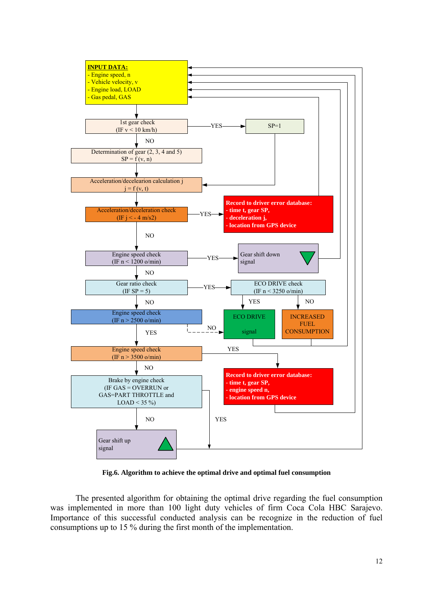

**Fig.6. Algorithm to achieve the optimal drive and optimal fuel consumption** 

The presented algorithm for obtaining the optimal drive regarding the fuel consumption was implemented in more than 100 light duty vehicles of firm Coca Cola HBC Sarajevo. Importance of this successful conducted analysis can be recognize in the reduction of fuel consumptions up to 15 % during the first month of the implementation.